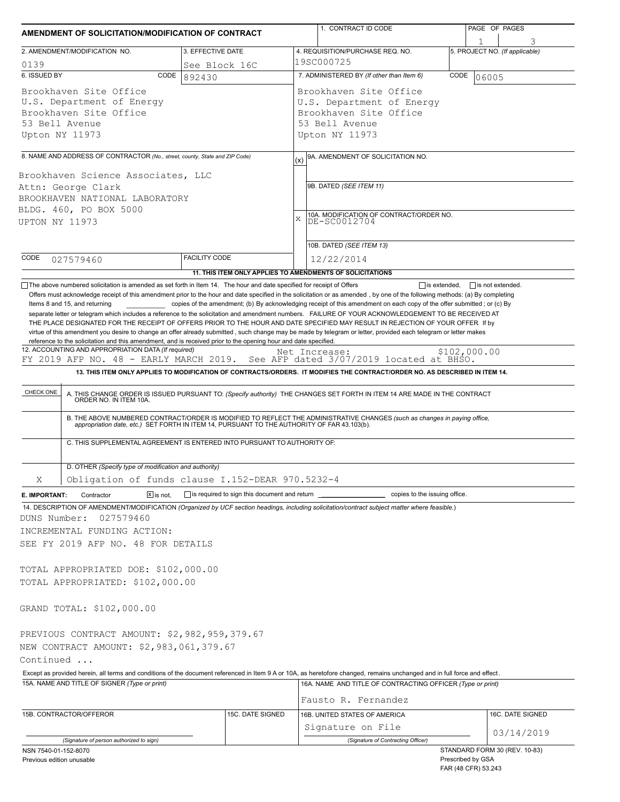| AMENDMENT OF SOLICITATION/MODIFICATION OF CONTRACT                                                                                                                         |                                                                          | 1. CONTRACT ID CODE                                                                                                                                                                                                                                                                                                                                                                                                                                                                                                           | PAGE OF PAGES                                                             |  |  |  |
|----------------------------------------------------------------------------------------------------------------------------------------------------------------------------|--------------------------------------------------------------------------|-------------------------------------------------------------------------------------------------------------------------------------------------------------------------------------------------------------------------------------------------------------------------------------------------------------------------------------------------------------------------------------------------------------------------------------------------------------------------------------------------------------------------------|---------------------------------------------------------------------------|--|--|--|
| 2. AMENDMENT/MODIFICATION NO.                                                                                                                                              | 3. EFFECTIVE DATE                                                        | 4. REQUISITION/PURCHASE REQ. NO.                                                                                                                                                                                                                                                                                                                                                                                                                                                                                              | 3<br>5. PROJECT NO. (If applicable)                                       |  |  |  |
| 0139                                                                                                                                                                       | See Block 16C                                                            | 19SC000725                                                                                                                                                                                                                                                                                                                                                                                                                                                                                                                    |                                                                           |  |  |  |
| 6. ISSUED BY<br>CODE                                                                                                                                                       | 892430                                                                   | 7. ADMINISTERED BY (If other than Item 6)                                                                                                                                                                                                                                                                                                                                                                                                                                                                                     | CODE<br>06005                                                             |  |  |  |
| Brookhaven Site Office<br>U.S. Department of Energy<br>Brookhaven Site Office<br>53 Bell Avenue<br>Upton NY 11973                                                          |                                                                          | Brookhaven Site Office<br>U.S. Department of Energy<br>Brookhaven Site Office<br>53 Bell Avenue<br>Upton NY 11973                                                                                                                                                                                                                                                                                                                                                                                                             |                                                                           |  |  |  |
| 8. NAME AND ADDRESS OF CONTRACTOR (No., street, county, State and ZIP Code)                                                                                                |                                                                          | 9A. AMENDMENT OF SOLICITATION NO.                                                                                                                                                                                                                                                                                                                                                                                                                                                                                             |                                                                           |  |  |  |
| Brookhaven Science Associates, LLC<br>Attn: George Clark<br>BROOKHAVEN NATIONAL LABORATORY<br>BLDG. 460, PO BOX 5000<br><b>UPTON NY 11973</b>                              |                                                                          | (x)<br>9B. DATED (SEE ITEM 11)<br>10A. MODIFICATION OF CONTRACT/ORDER NO.<br>X<br>DE-SC0012704                                                                                                                                                                                                                                                                                                                                                                                                                                |                                                                           |  |  |  |
|                                                                                                                                                                            |                                                                          | 10B. DATED (SEE ITEM 13)                                                                                                                                                                                                                                                                                                                                                                                                                                                                                                      |                                                                           |  |  |  |
| CODE<br>027579460                                                                                                                                                          | <b>FACILITY CODE</b>                                                     | 12/22/2014<br>11. THIS ITEM ONLY APPLIES TO AMENDMENTS OF SOLICITATIONS                                                                                                                                                                                                                                                                                                                                                                                                                                                       |                                                                           |  |  |  |
| FY 2019 AFP NO. 48 - EARLY MARCH 2019.<br>CHECK ONE<br>ORDER NO. IN ITEM 10A.                                                                                              | C. THIS SUPPLEMENTAL AGREEMENT IS ENTERED INTO PURSUANT TO AUTHORITY OF: | See AFP dated 3/07/2019 located at BHSO.<br>13. THIS ITEM ONLY APPLIES TO MODIFICATION OF CONTRACTS/ORDERS. IT MODIFIES THE CONTRACT/ORDER NO. AS DESCRIBED IN ITEM 14.<br>A. THIS CHANGE ORDER IS ISSUED PURSUANT TO: (Specify authority) THE CHANGES SET FORTH IN ITEM 14 ARE MADE IN THE CONTRACT<br>B. THE ABOVE NUMBERED CONTRACT/ORDER IS MODIFIED TO REFLECT THE ADMINISTRATIVE CHANGES (such as changes in paying office, appropriation date, etc.) SET FORTH IN ITEM 14, PURSUANT TO THE AUTHORITY OF FAR 43.103(b). |                                                                           |  |  |  |
| D. OTHER (Specify type of modification and authority)                                                                                                                      |                                                                          |                                                                                                                                                                                                                                                                                                                                                                                                                                                                                                                               |                                                                           |  |  |  |
| Χ                                                                                                                                                                          | Obligation of funds clause I.152-DEAR 970.5232-4                         |                                                                                                                                                                                                                                                                                                                                                                                                                                                                                                                               |                                                                           |  |  |  |
| $\boxed{\mathbf{X}}$ is not.<br>Contractor<br>E. IMPORTANT:                                                                                                                | is required to sign this document and return                             | copies to the issuing office.                                                                                                                                                                                                                                                                                                                                                                                                                                                                                                 |                                                                           |  |  |  |
| 027579460<br>DUNS Number:<br>INCREMENTAL FUNDING ACTION:<br>SEE FY 2019 AFP NO. 48 FOR DETAILS<br>TOTAL APPROPRIATED DOE: \$102,000.00<br>TOTAL APPROPRIATED: \$102,000.00 |                                                                          | 14. DESCRIPTION OF AMENDMENT/MODIFICATION (Organized by UCF section headings, including solicitation/contract subject matter where feasible.)                                                                                                                                                                                                                                                                                                                                                                                 |                                                                           |  |  |  |
| GRAND TOTAL: \$102,000.00                                                                                                                                                  |                                                                          |                                                                                                                                                                                                                                                                                                                                                                                                                                                                                                                               |                                                                           |  |  |  |
| PREVIOUS CONTRACT AMOUNT: \$2,982,959,379.67<br>NEW CONTRACT AMOUNT: \$2,983,061,379.67<br>Continued<br>15A. NAME AND TITLE OF SIGNER (Type or print)                      |                                                                          | Except as provided herein, all terms and conditions of the document referenced in Item 9 A or 10A, as heretofore changed, remains unchanged and in full force and effect.<br>16A. NAME AND TITLE OF CONTRACTING OFFICER (Type or print)                                                                                                                                                                                                                                                                                       |                                                                           |  |  |  |
|                                                                                                                                                                            |                                                                          | Fausto R. Fernandez                                                                                                                                                                                                                                                                                                                                                                                                                                                                                                           |                                                                           |  |  |  |
| 15B. CONTRACTOR/OFFEROR                                                                                                                                                    | 15C. DATE SIGNED                                                         | 16B. UNITED STATES OF AMERICA<br>Signature on File                                                                                                                                                                                                                                                                                                                                                                                                                                                                            | 16C. DATE SIGNED                                                          |  |  |  |
| (Signature of person authorized to sign)                                                                                                                                   |                                                                          | (Signature of Contracting Officer)                                                                                                                                                                                                                                                                                                                                                                                                                                                                                            | 03/14/2019                                                                |  |  |  |
| NSN 7540-01-152-8070<br>Previous edition unusable                                                                                                                          |                                                                          |                                                                                                                                                                                                                                                                                                                                                                                                                                                                                                                               | STANDARD FORM 30 (REV. 10-83)<br>Prescribed by GSA<br>FAR (48 CFR) 53.243 |  |  |  |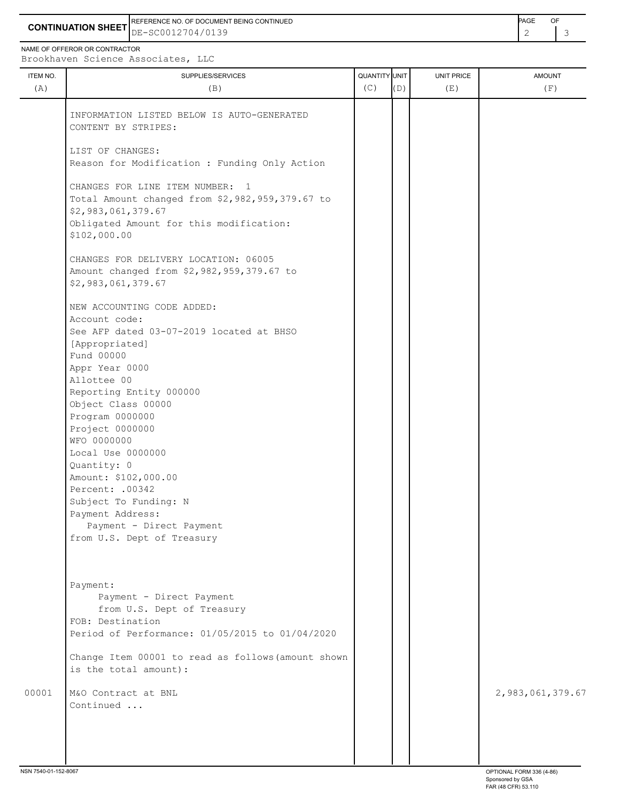**CONTINUATION SHEET** DE-SC0012704/0139 REFERENCE NO. OF DOCUMENT BEING CONTINUED **A CONTINUED PAGE OF PAGE OF PAGE OF PAGE** 

NAME OF OFFEROR OR CONTRACTOR Brookhaven Science Associates, LLC

ITEM NO. ┃ SUPPLIES/SERVICES UNIT PRICE AMOUNT (A)  $(B)$  (B)  $(C)$   $(D)$  (E)  $(E)$  (F) INFORMATION LISTED BELOW IS AUTO-GENERATED CONTENT BY STRIPES: LIST OF CHANGES: Reason for Modification : Funding Only Action CHANGES FOR LINE ITEM NUMBER: 1 Total Amount changed from \$2,982,959,379.67 to \$2,983,061,379.67 Obligated Amount for this modification: \$102,000.00 CHANGES FOR DELIVERY LOCATION: 06005 Amount changed from \$2,982,959,379.67 to \$2,983,061,379.67 NEW ACCOUNTING CODE ADDED: Account code: See AFP dated 03-07-2019 located at BHSO [Appropriated] Fund 00000 Appr Year 0000 Allottee 00 Reporting Entity 000000 Object Class 00000 Program 0000000 Project 0000000 WFO 0000000 Local Use 0000000 Quantity: 0 Amount: \$102,000.00 Percent: .00342 Subject To Funding: N Payment Address: Payment - Direct Payment from U.S. Dept of Treasury Payment: Payment - Direct Payment from U.S. Dept of Treasury FOB: Destination Period of Performance: 01/05/2015 to 01/04/2020 Change Item 00001 to read as follows(amount shown is the total amount): 00001 M&O Contract at BNL 2,983,061,379.67 Continued ... NSN 7540-01-152-8067 OPTIONAL FORM 336 (4-86)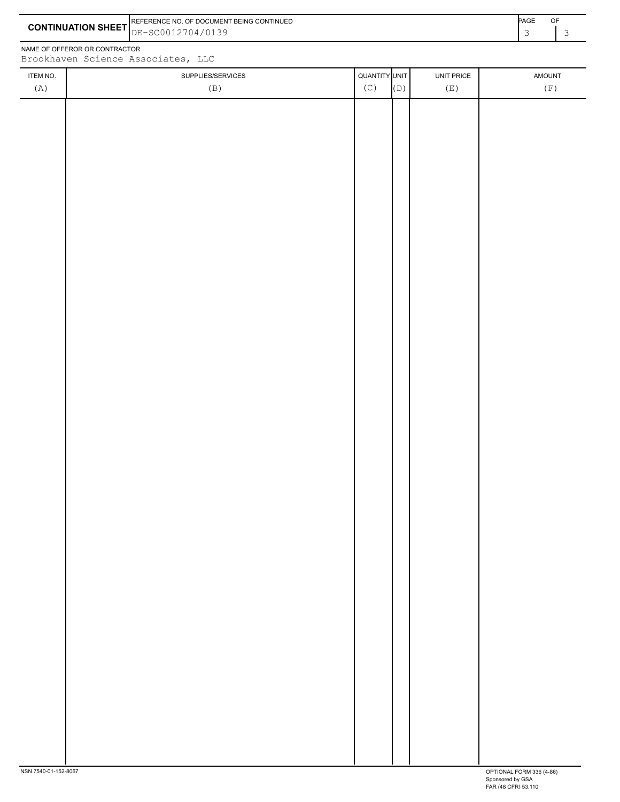|                           | PAGE<br><b>IREFERENCE NO. OF DOCUMENT BEING CONTINUED</b> |  | OF |
|---------------------------|-----------------------------------------------------------|--|----|
| <b>CONTINUATION SHEET</b> | E-SC0012704/0139                                          |  |    |

NAME OF OFFEROR OR CONTRACTOR

 $\overline{\phantom{a}}$ 

| ITEM NO. | SUPPLIES/SERVICES | QUANTITY UNIT |     | UNIT PRICE | AMOUNT            |
|----------|-------------------|---------------|-----|------------|-------------------|
| (A)      | (B)               | (C)           | (D) | (E)        | $(\, {\rm F} \,)$ |
|          |                   |               |     |            |                   |
|          |                   |               |     |            |                   |
|          |                   |               |     |            |                   |
|          |                   |               |     |            |                   |
|          |                   |               |     |            |                   |
|          |                   |               |     |            |                   |
|          |                   |               |     |            |                   |
|          |                   |               |     |            |                   |
|          |                   |               |     |            |                   |
|          |                   |               |     |            |                   |
|          |                   |               |     |            |                   |
|          |                   |               |     |            |                   |
|          |                   |               |     |            |                   |
|          |                   |               |     |            |                   |
|          |                   |               |     |            |                   |
|          |                   |               |     |            |                   |
|          |                   |               |     |            |                   |
|          |                   |               |     |            |                   |
|          |                   |               |     |            |                   |
|          |                   |               |     |            |                   |
|          |                   |               |     |            |                   |
|          |                   |               |     |            |                   |
|          |                   |               |     |            |                   |
|          |                   |               |     |            |                   |
|          |                   |               |     |            |                   |
|          |                   |               |     |            |                   |
|          |                   |               |     |            |                   |
|          |                   |               |     |            |                   |
|          |                   |               |     |            |                   |
|          |                   |               |     |            |                   |
|          |                   |               |     |            |                   |
|          |                   |               |     |            |                   |
|          |                   |               |     |            |                   |
|          |                   |               |     |            |                   |
|          |                   |               |     |            |                   |
|          |                   |               |     |            |                   |
|          |                   |               |     |            |                   |
|          |                   |               |     |            |                   |
|          |                   |               |     |            |                   |
|          |                   |               |     |            |                   |
|          |                   |               |     |            |                   |
|          |                   |               |     |            |                   |
|          |                   |               |     |            |                   |
|          |                   |               |     |            |                   |
|          |                   |               |     |            |                   |
|          |                   |               |     |            |                   |
|          |                   |               |     |            |                   |
|          |                   |               |     |            |                   |
|          |                   |               |     |            |                   |
|          |                   |               |     |            |                   |
|          |                   |               |     |            |                   |

 $\overline{1}$